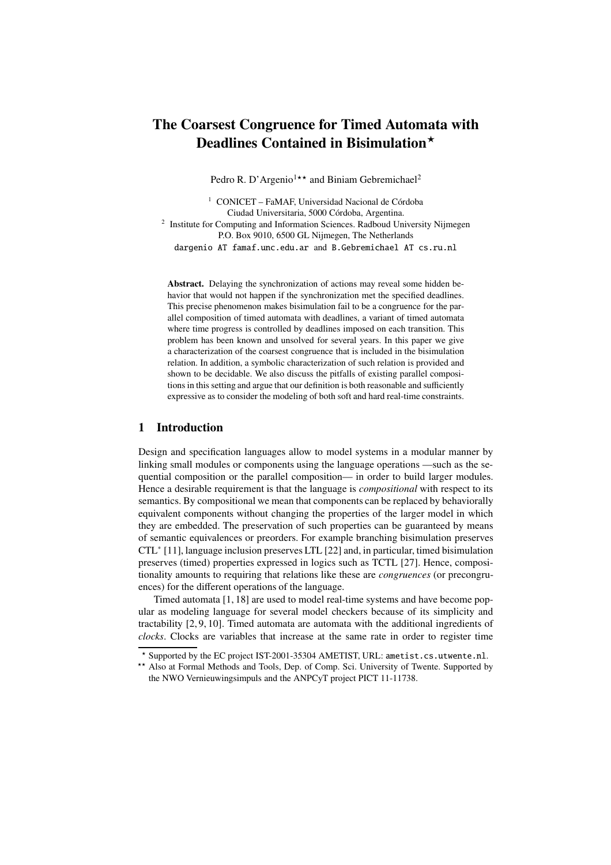# **The Coarsest Congruence for Timed Automata with Deadlines Contained in Bisimulation**?

Pedro R. D'Argenio<sup>1\*\*</sup> and Biniam Gebremichael<sup>2</sup>

 $1$  CONICET – FaMAF, Universidad Nacional de Córdoba Ciudad Universitaria, 5000 Córdoba, Argentina. <sup>2</sup> Institute for Computing and Information Sciences. Radboud University Nijmegen P.O. Box 9010, 6500 GL Nijmegen, The Netherlands dargenio AT famaf.unc.edu.ar and B.Gebremichael AT cs.ru.nl

**Abstract.** Delaying the synchronization of actions may reveal some hidden behavior that would not happen if the synchronization met the specified deadlines. This precise phenomenon makes bisimulation fail to be a congruence for the parallel composition of timed automata with deadlines, a variant of timed automata where time progress is controlled by deadlines imposed on each transition. This problem has been known and unsolved for several years. In this paper we give a characterization of the coarsest congruence that is included in the bisimulation relation. In addition, a symbolic characterization of such relation is provided and shown to be decidable. We also discuss the pitfalls of existing parallel compositions in this setting and argue that our definition is both reasonable and sufficiently expressive as to consider the modeling of both soft and hard real-time constraints.

## **1 Introduction**

Design and specification languages allow to model systems in a modular manner by linking small modules or components using the language operations —such as the sequential composition or the parallel composition— in order to build larger modules. Hence a desirable requirement is that the language is *compositional* with respect to its semantics. By compositional we mean that components can be replaced by behaviorally equivalent components without changing the properties of the larger model in which they are embedded. The preservation of such properties can be guaranteed by means of semantic equivalences or preorders. For example branching bisimulation preserves CTL<sup>∗</sup> [11], language inclusion preserves LTL [22] and, in particular, timed bisimulation preserves (timed) properties expressed in logics such as TCTL [27]. Hence, compositionality amounts to requiring that relations like these are *congruences* (or precongruences) for the different operations of the language.

Timed automata [1, 18] are used to model real-time systems and have become popular as modeling language for several model checkers because of its simplicity and tractability [2, 9, 10]. Timed automata are automata with the additional ingredients of *clocks*. Clocks are variables that increase at the same rate in order to register time

<sup>?</sup> Supported by the EC project IST-2001-35304 AMETIST, URL: ametist.cs.utwente.nl.

<sup>\*\*</sup> Also at Formal Methods and Tools, Dep. of Comp. Sci. University of Twente. Supported by the NWO Vernieuwingsimpuls and the ANPCyT project PICT 11-11738.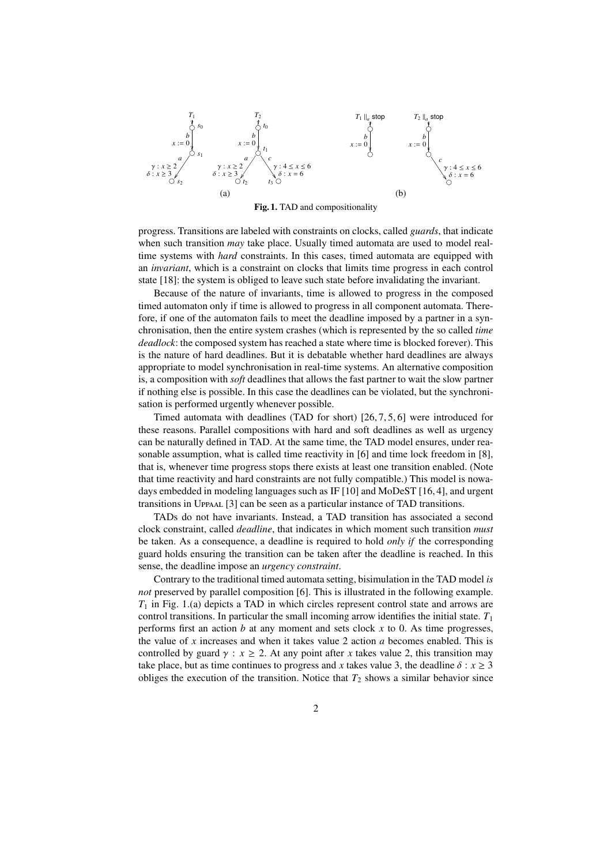

**Fig. 1.** TAD and compositionality

progress. Transitions are labeled with constraints on clocks, called *guards*, that indicate when such transition *may* take place. Usually timed automata are used to model realtime systems with *hard* constraints. In this cases, timed automata are equipped with an *invariant*, which is a constraint on clocks that limits time progress in each control state [18]: the system is obliged to leave such state before invalidating the invariant.

Because of the nature of invariants, time is allowed to progress in the composed timed automaton only if time is allowed to progress in all component automata. Therefore, if one of the automaton fails to meet the deadline imposed by a partner in a synchronisation, then the entire system crashes (which is represented by the so called *time deadlock*: the composed system has reached a state where time is blocked forever). This is the nature of hard deadlines. But it is debatable whether hard deadlines are always appropriate to model synchronisation in real-time systems. An alternative composition is, a composition with *soft* deadlines that allows the fast partner to wait the slow partner if nothing else is possible. In this case the deadlines can be violated, but the synchronisation is performed urgently whenever possible.

Timed automata with deadlines (TAD for short) [26, 7, 5, 6] were introduced for these reasons. Parallel compositions with hard and soft deadlines as well as urgency can be naturally defined in TAD. At the same time, the TAD model ensures, under reasonable assumption, what is called time reactivity in [6] and time lock freedom in [8], that is, whenever time progress stops there exists at least one transition enabled. (Note that time reactivity and hard constraints are not fully compatible.) This model is nowadays embedded in modeling languages such as IF [10] and MoDeST [16, 4], and urgent transitions in UPPAAL [3] can be seen as a particular instance of TAD transitions.

TADs do not have invariants. Instead, a TAD transition has associated a second clock constraint, called *deadline*, that indicates in which moment such transition *must* be taken. As a consequence, a deadline is required to hold *only if* the corresponding guard holds ensuring the transition can be taken after the deadline is reached. In this sense, the deadline impose an *urgency constraint*.

Contrary to the traditional timed automata setting, bisimulation in the TAD model *is not* preserved by parallel composition [6]. This is illustrated in the following example. *T*<sup>1</sup> in Fig. 1.(a) depicts a TAD in which circles represent control state and arrows are control transitions. In particular the small incoming arrow identifies the initial state.  $T_1$ performs first an action *b* at any moment and sets clock *x* to 0. As time progresses, the value of *x* increases and when it takes value 2 action *a* becomes enabled. This is controlled by guard  $\gamma$  :  $x \ge 2$ . At any point after *x* takes value 2, this transition may take place, but as time continues to progress and *x* takes value 3, the deadline  $\delta$  :  $x \ge 3$ obliges the execution of the transition. Notice that  $T_2$  shows a similar behavior since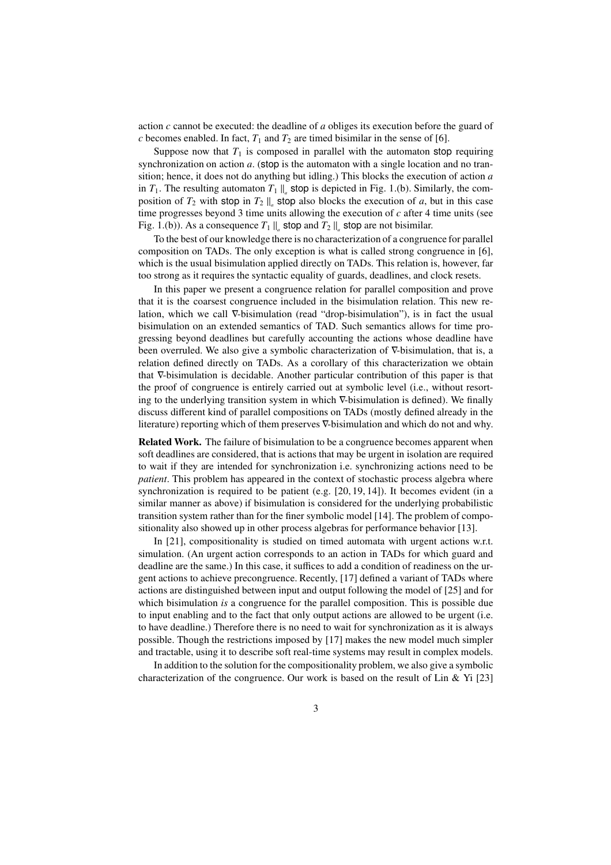action *c* cannot be executed: the deadline of *a* obliges its execution before the guard of *c* becomes enabled. In fact,  $T_1$  and  $T_2$  are timed bisimilar in the sense of [6].

Suppose now that  $T_1$  is composed in parallel with the automaton stop requiring synchronization on action *a*. (stop is the automaton with a single location and no transition; hence, it does not do anything but idling.) This blocks the execution of action *a* in  $T_1$ . The resulting automaton  $T_1 \parallel_a$  stop is depicted in Fig. 1.(b). Similarly, the composition of  $T_2$  with stop in  $T_2 \parallel_a$  stop also blocks the execution of *a*, but in this case time progresses beyond 3 time units allowing the execution of *c* after 4 time units (see Fig. 1.(b)). As a consequence  $T_1 \parallel_a$  stop and  $T_2 \parallel_a$  stop are not bisimilar.

To the best of our knowledge there is no characterization of a congruence for parallel composition on TADs. The only exception is what is called strong congruence in [6], which is the usual bisimulation applied directly on TADs. This relation is, however, far too strong as it requires the syntactic equality of guards, deadlines, and clock resets.

In this paper we present a congruence relation for parallel composition and prove that it is the coarsest congruence included in the bisimulation relation. This new relation, which we call ∇-bisimulation (read "drop-bisimulation"), is in fact the usual bisimulation on an extended semantics of TAD. Such semantics allows for time progressing beyond deadlines but carefully accounting the actions whose deadline have been overruled. We also give a symbolic characterization of ∇-bisimulation, that is, a relation defined directly on TADs. As a corollary of this characterization we obtain that ∇-bisimulation is decidable. Another particular contribution of this paper is that the proof of congruence is entirely carried out at symbolic level (i.e., without resorting to the underlying transition system in which ∇-bisimulation is defined). We finally discuss different kind of parallel compositions on TADs (mostly defined already in the literature) reporting which of them preserves ∇-bisimulation and which do not and why.

**Related Work.** The failure of bisimulation to be a congruence becomes apparent when soft deadlines are considered, that is actions that may be urgent in isolation are required to wait if they are intended for synchronization i.e. synchronizing actions need to be *patient*. This problem has appeared in the context of stochastic process algebra where synchronization is required to be patient (e.g. [20, 19, 14]). It becomes evident (in a similar manner as above) if bisimulation is considered for the underlying probabilistic transition system rather than for the finer symbolic model [14]. The problem of compositionality also showed up in other process algebras for performance behavior [13].

In [21], compositionality is studied on timed automata with urgent actions w.r.t. simulation. (An urgent action corresponds to an action in TADs for which guard and deadline are the same.) In this case, it suffices to add a condition of readiness on the urgent actions to achieve precongruence. Recently, [17] defined a variant of TADs where actions are distinguished between input and output following the model of [25] and for which bisimulation *is* a congruence for the parallel composition. This is possible due to input enabling and to the fact that only output actions are allowed to be urgent (i.e. to have deadline.) Therefore there is no need to wait for synchronization as it is always possible. Though the restrictions imposed by [17] makes the new model much simpler and tractable, using it to describe soft real-time systems may result in complex models.

In addition to the solution for the compositionality problem, we also give a symbolic characterization of the congruence. Our work is based on the result of Lin & Yi [23]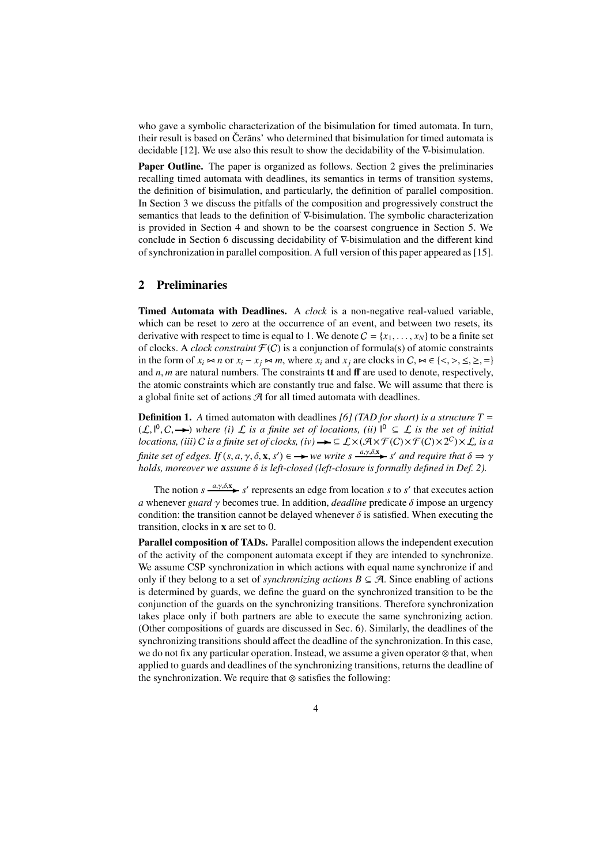who gave a symbolic characterization of the bisimulation for timed automata. In turn, their result is based on Čerāns' who determined that bisimulation for timed automata is decidable [12]. We use also this result to show the decidability of the ∇-bisimulation.

**Paper Outline.** The paper is organized as follows. Section 2 gives the preliminaries recalling timed automata with deadlines, its semantics in terms of transition systems, the definition of bisimulation, and particularly, the definition of parallel composition. In Section 3 we discuss the pitfalls of the composition and progressively construct the semantics that leads to the definition of ∇-bisimulation. The symbolic characterization is provided in Section 4 and shown to be the coarsest congruence in Section 5. We conclude in Section 6 discussing decidability of ∇-bisimulation and the different kind of synchronization in parallel composition. A full version of this paper appeared as [15].

#### **2 Preliminaries**

**Timed Automata with Deadlines.** A *clock* is a non-negative real-valued variable, which can be reset to zero at the occurrence of an event, and between two resets, its derivative with respect to time is equal to 1. We denote  $C = \{x_1, \ldots, x_N\}$  to be a finite set of clocks. A *clock constraint*  $\mathcal{F}(C)$  is a conjunction of formula(s) of atomic constraints in the form of  $x_i$   $\bowtie$  *n* or  $x_i - x_j \bowtie m$ , where  $x_i$  and  $x_j$  are clocks in C,  $\bowtie$  ∈ {<, >, ≤, ≥, =} and *n*, *m* are natural numbers. The constraints **tt** and ff are used to denote, respectively, the atomic constraints which are constantly true and false. We will assume that there is a global finite set of actions  $A$  for all timed automata with deadlines.

**Definition 1.** *A* timed automaton with deadlines  $[6]$  *(TAD for short) is a structure*  $T =$  $( L, I<sup>0</sup>, C, → )$  *where (i)*  $L$  *is a finite set of locations, (ii)*  $|<sup>0</sup> ⊆ L$  *is the set of initial locations, (iii)* C *is a finite set of clocks, (iv)*  $\rightarrow \subseteq \mathcal{L} \times (\mathcal{A} \times \mathcal{F}(C) \times \mathcal{F}(C) \times 2^C) \times \mathcal{L}$ *, is a finite set of edges. If*  $(s, a, \gamma, \delta, \mathbf{x}, s') \in \rightarrow \mathbb{W}$ e *write*  $s \xrightarrow{a, \gamma, \delta, \mathbf{x}} s'$  *and require that*  $\delta \Rightarrow \gamma$ *holds, moreover we assume* δ *is left-closed (left-closure is formally defined in Def. 2).*

The notion  $s \xrightarrow{a,y,\delta,\mathbf{x}} s'$  represents an edge from location *s* to *s'* that executes action *a* whenever *guard*  $\gamma$  becomes true. In addition, *deadline* predicate  $\delta$  impose an urgency condition: the transition cannot be delayed whenever  $\delta$  is satisfied. When executing the transition, clocks in **x** are set to 0.

**Parallel composition of TADs.** Parallel composition allows the independent execution of the activity of the component automata except if they are intended to synchronize. We assume CSP synchronization in which actions with equal name synchronize if and only if they belong to a set of *synchronizing actions*  $B \subseteq \mathcal{A}$ . Since enabling of actions is determined by guards, we define the guard on the synchronized transition to be the conjunction of the guards on the synchronizing transitions. Therefore synchronization takes place only if both partners are able to execute the same synchronizing action. (Other compositions of guards are discussed in Sec. 6). Similarly, the deadlines of the synchronizing transitions should affect the deadline of the synchronization. In this case, we do not fix any particular operation. Instead, we assume a given operator ⊗ that, when applied to guards and deadlines of the synchronizing transitions, returns the deadline of the synchronization. We require that ⊗ satisfies the following: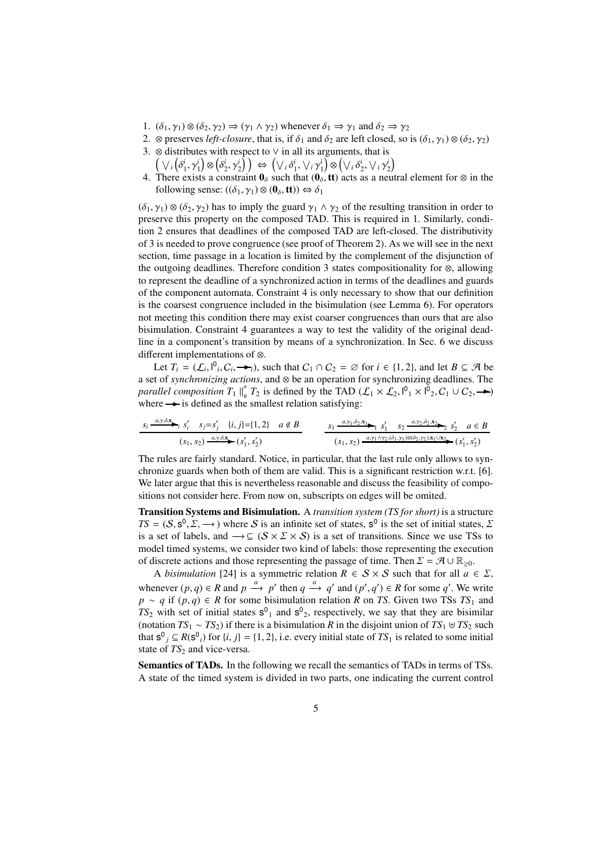- 1.  $(\delta_1, \gamma_1) \otimes (\delta_2, \gamma_2) \Rightarrow (\gamma_1 \wedge \gamma_2)$  whenever  $\delta_1 \Rightarrow \gamma_1$  and  $\delta_2 \Rightarrow \gamma_2$
- 2. ⊗ preserves *left-closure*, that is, if  $\delta_1$  and  $\delta_2$  are left closed, so is  $(\delta_1, \gamma_1) \otimes (\delta_2, \gamma_2)$
- 3. ⊗ distributes with respect to ∨ in all its arguments, that is
- $\left(\ \vee_i \left( \delta^i_1, \gamma^i_1 \right) \otimes \left( \delta^i_2, \gamma^i_2 \right) \right) \ \Leftrightarrow \ \left( \vee_i \delta^i_1, \vee_i \gamma^i_1 \right) \otimes \left( \vee_i \delta^i_2, \vee_i \gamma^i_2 \right)$
- 4. There exists a constraint  $\mathbf{0}_{\delta}$  such that  $(\mathbf{0}_{\delta}, \mathbf{t})$  acts as a neutral element for  $\otimes$  in the following sense:  $((\delta_1, \gamma_1) \otimes (\mathbf{0}_{\delta}, \mathbf{t}) ) \Leftrightarrow \delta_1$

 $(\delta_1, \gamma_1) \otimes (\delta_2, \gamma_2)$  has to imply the guard  $\gamma_1 \wedge \gamma_2$  of the resulting transition in order to preserve this property on the composed TAD. This is required in 1. Similarly, condition 2 ensures that deadlines of the composed TAD are left-closed. The distributivity of 3 is needed to prove congruence (see proof of Theorem 2). As we will see in the next section, time passage in a location is limited by the complement of the disjunction of the outgoing deadlines. Therefore condition 3 states compositionality for  $\otimes$ , allowing to represent the deadline of a synchronized action in terms of the deadlines and guards of the component automata. Constraint 4 is only necessary to show that our definition is the coarsest congruence included in the bisimulation (see Lemma 6). For operators not meeting this condition there may exist coarser congruences than ours that are also bisimulation. Constraint 4 guarantees a way to test the validity of the original deadline in a component's transition by means of a synchronization. In Sec. 6 we discuss different implementations of ⊗.

Let  $T_i = (\mathcal{L}_i, \mathsf{I}^0_i, C_i, \rightarrow_i)$ , such that  $C_1 \cap C_2 = \emptyset$  for  $i \in \{1, 2\}$ , and let  $B \subseteq \mathcal{A}$  be a set of *synchronizing actions*, and ⊗ be an operation for synchronizing deadlines. The *parallel composition*  $T_1 \parallel^{\circ}$   $T_2$  is defined by the TAD ( $\mathcal{L}_1 \times \mathcal{L}_2$ ,  $\parallel^0_1 \times \parallel^0_2$ ,  $C_1 \cup C_2$ ,  $\rightarrow$ ) where  $\rightarrow$  is defined as the smallest relation satisfying:

$$
\begin{array}{ccc}\ns_i \xrightarrow{a,\gamma,\delta,\mathbf{x}} & s_i' & s_j = s_j' & (i,j) = \{1,2\} & a \notin B \\
(s_1, s_2) \xrightarrow{a,\gamma,\delta,\mathbf{x}} & (s_1', s_2') & (s_1, s_2) \xrightarrow{a,\gamma,\delta_2,\mathbf{x}} & (s_1', s_2') & (s_1, s_2) \xrightarrow{a,\gamma_1,\gamma_2,\delta_1,\gamma_1 \otimes \delta_2,\gamma_2 \otimes \mathbf{x}_1 \cup \mathbf{x}_2} & (s_1', s_2') & \\
\end{array}
$$

The rules are fairly standard. Notice, in particular, that the last rule only allows to synchronize guards when both of them are valid. This is a significant restriction w.r.t. [6]. We later argue that this is nevertheless reasonable and discuss the feasibility of compositions not consider here. From now on, subscripts on edges will be omited.

**Transition Systems and Bisimulation.** A *transition system (TS for short)* is a structure  $TS = (S, s^0, \Sigma, \rightarrow)$  where S is an infinite set of states,  $s^0$  is the set of initial states,  $\Sigma$ is a set of labels, and  $\rightarrow \subseteq (\mathcal{S} \times \Sigma \times \mathcal{S})$  is a set of transitions. Since we use TSs to model timed systems, we consider two kind of labels: those representing the execution of discrete actions and those representing the passage of time. Then  $\Sigma = \mathcal{A} \cup \mathbb{R}_{\geq 0}$ .

A *bisimulation* [24] is a symmetric relation  $R \in S \times S$  such that for all  $a \in \Sigma$ , whenever  $(p, q) \in R$  and  $p \xrightarrow{a} p'$  then  $q \xrightarrow{a} q'$  and  $(p', q') \in R$  for some  $q'$ . We write *p* ∼ *q* if  $(p, q) \in R$  for some bisimulation relation *R* on *TS*. Given two TSs  $TS_1$  and  $TS_2$  with set of initial states  $s^0_1$  and  $s^0_2$ , respectively, we say that they are bisimilar (notation  $TS_1 \sim TS_2$ ) if there is a bisimulation *R* in the disjoint union of  $TS_1 \oplus TS_2$  such that  $s^0$ <sub>*j*</sub>  $\subseteq$  *R*( $s^0$ <sub>*i*</sub>) for {*i*, *j*} = {1, 2}, i.e. every initial state of *TS*<sub>1</sub> is related to some initial state of  $TS_2$  and vice-versa.

**Semantics of TADs.** In the following we recall the semantics of TADs in terms of TSs. A state of the timed system is divided in two parts, one indicating the current control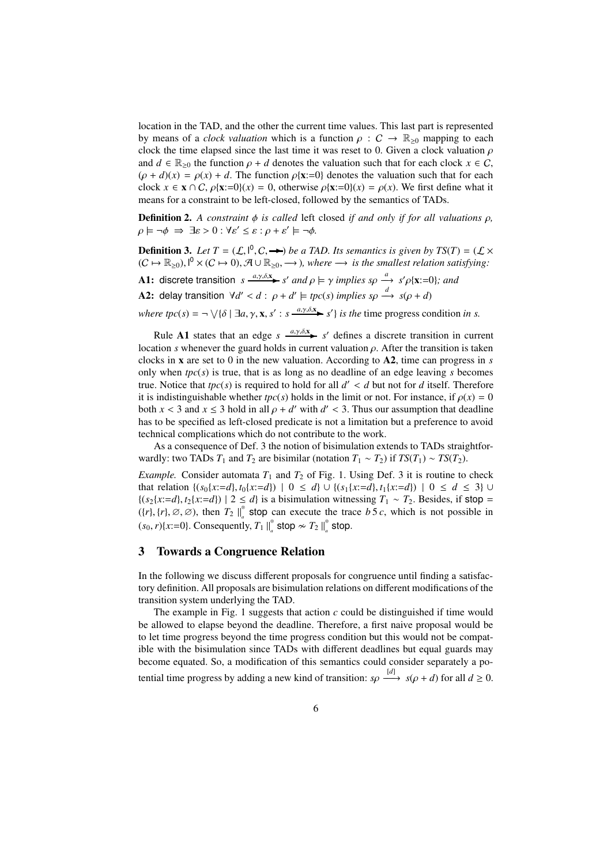location in the TAD, and the other the current time values. This last part is represented by means of a *clock valuation* which is a function  $\rho : C \to \mathbb{R}_{\geq 0}$  mapping to each clock the time elapsed since the last time it was reset to 0. Given a clock valuation  $\rho$ and  $d \in \mathbb{R}_{\geq 0}$  the function  $\rho + d$  denotes the valuation such that for each clock  $x \in C$ ,  $(\rho + d)(x) = \rho(x) + d$ . The function  $\rho\{x:=0\}$  denotes the valuation such that for each clock  $x \in \mathbf{x} \cap C$ ,  $\rho\{\mathbf{x}:=0\}(x) = 0$ , otherwise  $\rho\{\mathbf{x}:=0\}(x) = \rho(x)$ . We first define what it means for a constraint to be left-closed, followed by the semantics of TADs.

**Definition 2.** *A constraint*  $\phi$  *is called* left closed *if and only if for all valuations*  $\rho$ *,*  $\rho \models \neg \phi \Rightarrow \exists \varepsilon > 0 : \forall \varepsilon' \leq \varepsilon : \rho + \varepsilon' \models \neg \phi.$ 

**Definition 3.** Let  $T = (\mathcal{L}, I^0, C, \rightarrow)$  be a TAD. Its semantics is given by  $TS(T) = (\mathcal{L} \times$  $(C \mapsto \mathbb{R}_{\geq 0}), l^0 \times (C \mapsto 0), \mathcal{A} \cup \mathbb{R}_{\geq 0}, \longrightarrow$ ), where  $\longrightarrow$  *is the smallest relation satisfying:* **A1:** discrete transition  $s \xrightarrow{a, \gamma, \delta, \mathbf{x}} s'$  *and*  $\rho \models \gamma$  *implies*  $s\rho \xrightarrow{a} s' \rho\{\mathbf{x}:=0\}$ *; and* **A2:** delay transition  $\forall d' < d : \rho + d' \models \textit{tpc}(s) \textit{ implies } s\rho \xrightarrow{d} s(\rho + d)$ 

*where*  $tpc(s) = \neg \sqrt{\{\delta \mid \exists a, \gamma, \mathbf{x}, s' : s \xrightarrow{a, \gamma, \delta, \mathbf{x}} s' \}}$  *is the* time progress condition *in s*.

Rule **A1** states that an edge  $s \xrightarrow{a,y,\delta,x} s'$  defines a discrete transition in current location *s* whenever the guard holds in current valuation  $\rho$ . After the transition is taken clocks in **x** are set to 0 in the new valuation. According to **A2**, time can progress in *s* only when  $tpc(s)$  is true, that is as long as no deadline of an edge leaving  $s$  becomes true. Notice that  $tpc(s)$  is required to hold for all  $d' < d$  but not for  $d$  itself. Therefore it is indistinguishable whether  $tpc(s)$  holds in the limit or not. For instance, if  $\rho(x) = 0$ both  $x < 3$  and  $x \le 3$  hold in all  $\rho + d'$  with  $d' < 3$ . Thus our assumption that deadline has to be specified as left-closed predicate is not a limitation but a preference to avoid technical complications which do not contribute to the work.

As a consequence of Def. 3 the notion of bisimulation extends to TADs straightforwardly: two TADs  $T_1$  and  $T_2$  are bisimilar (notation  $T_1 \sim T_2$ ) if  $TS(T_1) \sim TS(T_2)$ .

*Example.* Consider automata  $T_1$  and  $T_2$  of Fig. 1. Using Def. 3 it is routine to check that relation  $\{(s_0\{x:=d\}, t_0\{x:=d\})$  | 0 ≤ *d*} ∪  $\{(s_1\{x:=d\}, t_1\{x:=d\})$  | 0 ≤ *d* ≤ 3} ∪  ${(s_2{x := d}, t_2{x := d}) \mid 2 \le d}$  is a bisimulation witnessing  $T_1 \sim T_2$ . Besides, if stop =  $({r}, {r}, \emptyset, \emptyset)$ , then  $T_2 \parallel_a^{\circ}$  stop can execute the trace  $b \cdot 5c$ , which is not possible in  $(s_0, r)$ {*x*:=0}. Consequently,  $T_1 \parallel_a^{\otimes}$  stop  $\sim T_2 \parallel_a^{\otimes}$  stop.

#### **3 Towards a Congruence Relation**

In the following we discuss different proposals for congruence until finding a satisfactory definition. All proposals are bisimulation relations on different modifications of the transition system underlying the TAD.

The example in Fig. 1 suggests that action *c* could be distinguished if time would be allowed to elapse beyond the deadline. Therefore, a first naive proposal would be to let time progress beyond the time progress condition but this would not be compatible with the bisimulation since TADs with different deadlines but equal guards may become equated. So, a modification of this semantics could consider separately a potential time progress by adding a new kind of transition:  $s\rho \xrightarrow{[d]} s(\rho + d)$  for all  $d \ge 0$ .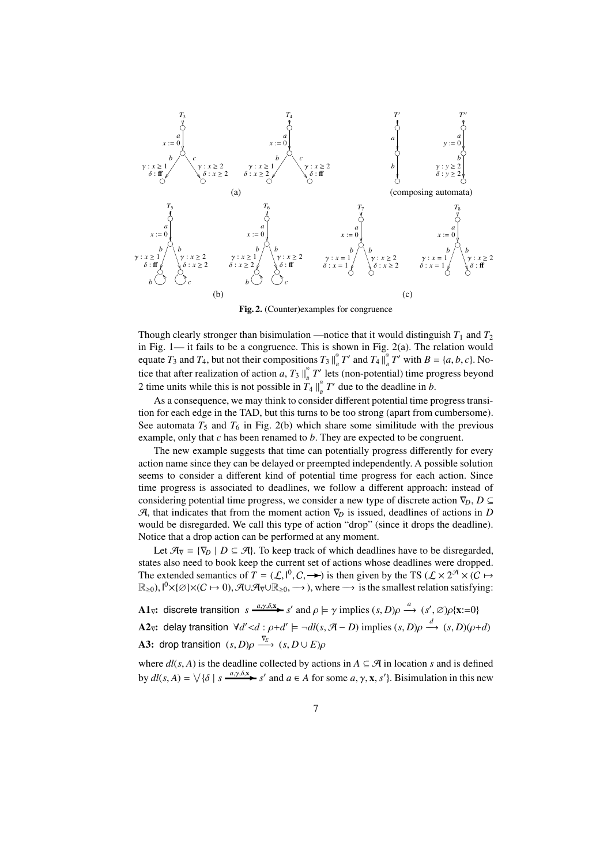

**Fig. 2.** (Counter)examples for congruence

Though clearly stronger than bisimulation —notice that it would distinguish  $T_1$  and  $T_2$ in Fig. 1— it fails to be a congruence. This is shown in Fig. 2(a). The relation would equate  $T_3$  and  $T_4$ , but not their compositions  $T_3 \parallel_{B}^{\otimes} T'$  and  $T_4 \parallel_{B}^{\otimes} T'$  with  $B = \{a, b, c\}$ . Notice that after realization of action *a*,  $T_3 \parallel^{\circ} \pi'$  lets (non-potential) time progress beyond 2 time units while this is not possible in  $T_4 \parallel_{B}^{\infty} T'$  due to the deadline in *b*.

As a consequence, we may think to consider different potential time progress transition for each edge in the TAD, but this turns to be too strong (apart from cumbersome). See automata  $T_5$  and  $T_6$  in Fig. 2(b) which share some similitude with the previous example, only that *c* has been renamed to *b*. They are expected to be congruent.

The new example suggests that time can potentially progress differently for every action name since they can be delayed or preempted independently. A possible solution seems to consider a different kind of potential time progress for each action. Since time progress is associated to deadlines, we follow a different approach: instead of considering potential time progress, we consider a new type of discrete action  $\nabla_D$ ,  $D \subseteq$ A, that indicates that from the moment action  $\nabla_D$  is issued, deadlines of actions in *D* would be disregarded. We call this type of action "drop" (since it drops the deadline). Notice that a drop action can be performed at any moment.

Let  $\mathcal{A}_{\nabla} = {\nabla}_{D} \mid D \subseteq \mathcal{A}$ . To keep track of which deadlines have to be disregarded, states also need to book keep the current set of actions whose deadlines were dropped. The extended semantics of  $T = (\mathcal{L}, I^0, C, \rightarrow)$  is then given by the TS ( $\mathcal{L} \times 2^{\mathcal{A}} \times (C \rightarrow$  $\mathbb{R}_{\geq 0}$ ,  $\mathsf{P} \times \{\varnothing\} \times (C \mapsto 0)$ ,  $\mathcal{A} \cup \mathcal{A}_{\nabla} \cup \mathbb{R}_{\geq 0}$ ,  $\longrightarrow$  ), where  $\longrightarrow$  is the smallest relation satisfying:

**A1**<sup> $\tau$ </sup>: discrete transition  $s \xrightarrow{a,\gamma,\delta,\mathbf{x}} s'$  and  $\rho \models \gamma$  implies  $(s,D)\rho \xrightarrow{a} (s',\varnothing)\rho\{\mathbf{x}:=0\}$ **A2**<sub> $v$ </sub>: delay transition  $\forall d' < d : \rho + d' \models \neg dl(s, \mathcal{A} - D)$  implies  $(s, D)\rho \xrightarrow{d} (s, D)(\rho + d)$ **A3:** drop transition  $(s, D)\rho \xrightarrow{V_E} (s, D \cup E)\rho$ 

where  $dl(s, A)$  is the deadline collected by actions in  $A \subseteq \mathcal{A}$  in location *s* and is defined by  $dl(s, A) = \bigvee \{ \delta \mid s \xrightarrow{a, \gamma, \delta, \mathbf{x}} s' \text{ and } a \in A \text{ for some } a, \gamma, \mathbf{x}, s' \}.$  Bisimulation in this new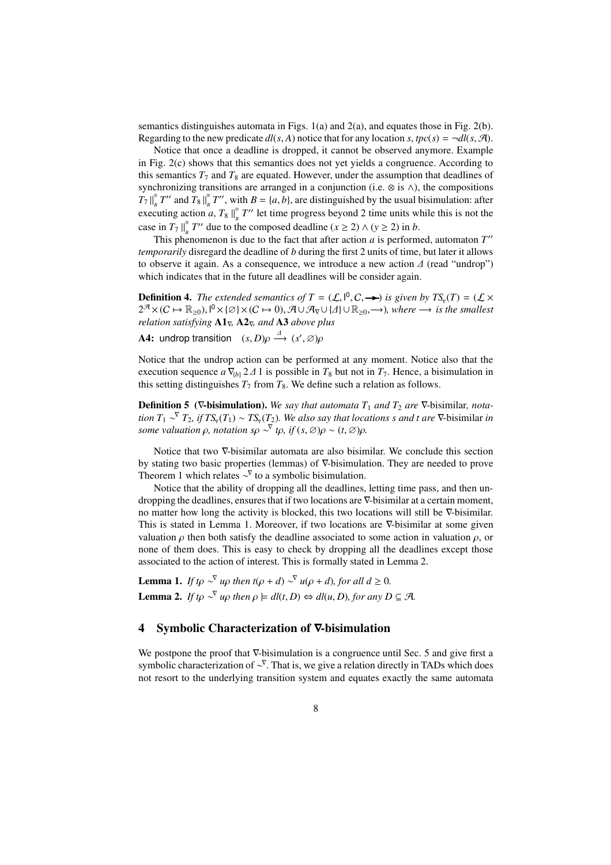semantics distinguishes automata in Figs. 1(a) and 2(a), and equates those in Fig. 2(b). Regarding to the new predicate  $dl(s, A)$  notice that for any location *s*,  $tpc(s) = \neg dl(s, \mathcal{A})$ .

Notice that once a deadline is dropped, it cannot be observed anymore. Example in Fig. 2(c) shows that this semantics does not yet yields a congruence. According to this semantics  $T_7$  and  $T_8$  are equated. However, under the assumption that deadlines of synchronizing transitions are arranged in a conjunction (i.e.  $\otimes$  is  $\wedge$ ), the compositions  $T_7 \parallel_{B}^{\infty} T''$  and  $T_8 \parallel_{B}^{\infty} T''$ , with  $B = \{a, b\}$ , are distinguished by the usual bisimulation: after executing action *a*,  $T_8 \parallel_{B}^{\infty} T''$  let time progress beyond 2 time units while this is not the case in  $T_7 \parallel^{\circ}$  *T''* due to the composed deadline (*x* ≥ 2)  $\land$  (*y* ≥ 2) in *b*.

This phenomenon is due to the fact that after action  $a$  is performed, automaton  $T''$ *temporarily* disregard the deadline of *b* during the first 2 units of time, but later it allows to observe it again. As a consequence, we introduce a new action ∆ (read "undrop") which indicates that in the future all deadlines will be consider again.

**Definition 4.** *The extended semantics of*  $T = (\mathcal{L}, I^0, C, \rightarrow)$  *is given by*  $TS_\text{v}(T) = (\mathcal{L} \times I^0, C, \rightarrow)$  $2^{\mathcal{A}} \times (C \mapsto \mathbb{R}_{\geq 0}),$   $\vert^0 \times \{\varnothing\} \times (C \mapsto 0),$   $\mathcal{A} \cup \mathcal{A}_{\nabla} \cup \{\varDelta\} \cup \mathbb{R}_{\geq 0}, \longrightarrow$ *), where* → *is the smallest relation satisfying* **A1**∇*,* **A2**∇*, and* **A3** *above plus*

**A4:** undrop transition  $(s, D)\rho \xrightarrow{A} (s', \varnothing)\rho$ 

Notice that the undrop action can be performed at any moment. Notice also that the execution sequence  $a \nabla_{b} 2 \Delta 1$  is possible in  $T_8$  but not in  $T_7$ . Hence, a bisimulation in this setting distinguishes  $T_7$  from  $T_8$ . We define such a relation as follows.

**Definition 5** ( $\nabla$ -bisimulation). We say that automata  $T_1$  and  $T_2$  are  $\nabla$ -bisimilar, notation  $T_1 \sim^\nabla T_2$ , if  $TS_\nabla(T_1) \sim TS_\nabla(T_2)$ . We also say that locations s and t are  $\nabla$ -bisimilar in *some valuation*  $\rho$ *, notation s* $\rho \sim^V tp$ *, if*  $(s, \varnothing) \rho \sim (t, \varnothing) \rho$ *.* 

Notice that two ∇-bisimilar automata are also bisimilar. We conclude this section by stating two basic properties (lemmas) of ∇-bisimulation. They are needed to prove Theorem 1 which relates  $\sim$ <sup>V</sup> to a symbolic bisimulation.

Notice that the ability of dropping all the deadlines, letting time pass, and then undropping the deadlines, ensuresthat if two locations are ∇-bisimilar at a certain moment, no matter how long the activity is blocked, this two locations will still be ∇-bisimilar. This is stated in Lemma 1. Moreover, if two locations are ∇-bisimilar at some given valuation  $\rho$  then both satisfy the deadline associated to some action in valuation  $\rho$ , or none of them does. This is easy to check by dropping all the deadlines except those associated to the action of interest. This is formally stated in Lemma 2.

**Lemma 1.** *If*  $t\rho \sim^{\vee} \omega\rho$  *then*  $t(\rho + d) \sim^{\vee} \omega(\rho + d)$ *, for all*  $d \ge 0$ *.* **Lemma 2.** *If*  $t\rho \sim^{\nabla} u\rho$  *then*  $\rho \models dl(t, D) \Leftrightarrow dl(u, D)$ *, for any*  $D \subseteq \mathcal{A}$ *.* 

## **4 Symbolic Characterization of** ∇**-bisimulation**

We postpone the proof that  $∇$ -bisimulation is a congruence until Sec. 5 and give first a symbolic characterization of  $\sim$ <sup>V</sup>. That is, we give a relation directly in TADs which does not resort to the underlying transition system and equates exactly the same automata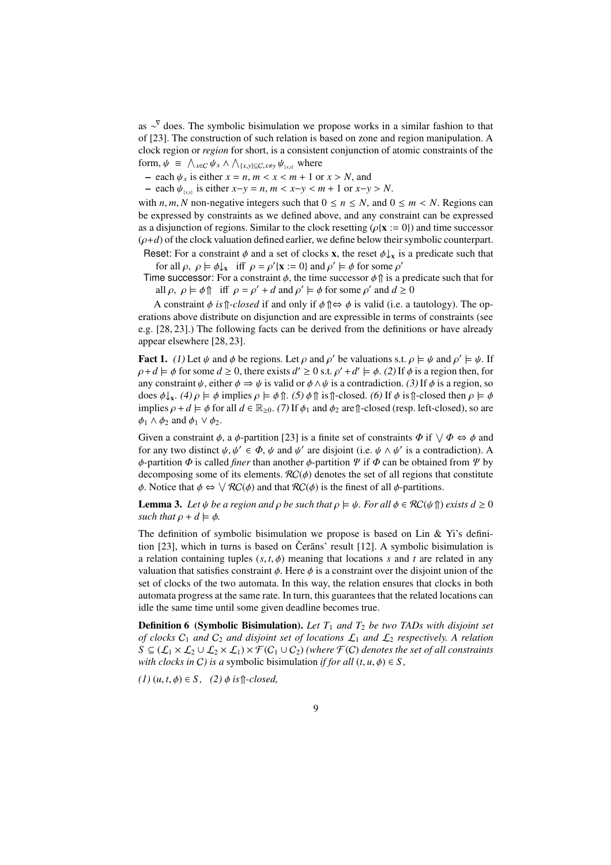as  $\sim$ <sup>V</sup> does. The symbolic bisimulation we propose works in a similar fashion to that of [23]. The construction of such relation is based on zone and region manipulation. A clock region or *region* for short, is a consistent conjunction of atomic constraints of the form,  $\psi \equiv \bigwedge_{x \in C} \psi_x \wedge \bigwedge_{\{x,y\} \subseteq C, x \neq y} \psi_{\{x,y\}}$  where

- **–** each  $\psi_x$  is either  $x = n$ ,  $m < x < m + 1$  or  $x > N$ , and
- **–** each ψ{*x*,*y*} is either *x*−*y* = *n*, *m* < *x*−*y* < *m* + 1 or *x*−*y* > *N*.

with *n*, *m*, *N* non-negative integers such that  $0 \le n \le N$ , and  $0 \le m \le N$ . Regions can be expressed by constraints as we defined above, and any constraint can be expressed as a disjunction of regions. Similar to the clock resetting  $(\rho{\bf x} := 0)$  and time successor  $(\rho+d)$  of the clock valuation defined earlier, we define below their symbolic counterpart.

Reset: For a constraint  $\phi$  and a set of clocks **x**, the reset  $\phi \downarrow_{\mathbf{x}}$  is a predicate such that for all  $\rho$ ,  $\rho \models \phi \downarrow_{\mathbf{x}}$  iff  $\rho = \rho' \{ \mathbf{x} := 0 \}$  and  $\rho' \models \phi$  for some  $\rho'$ 

Time successor: For a constraint  $\phi$ , the time successor  $\phi \cap \mathcal{A}$  is a predicate such that for all  $\rho$ ,  $\rho \models \phi \uparrow \uparrow$  iff  $\rho = \rho' + d$  and  $\rho' \models \phi$  for some  $\rho'$  and  $d \ge 0$ 

A constraint  $\phi$  *is*  $\uparrow$ -*closed* if and only if  $\phi \uparrow \Leftrightarrow \phi$  is valid (i.e. a tautology). The operations above distribute on disjunction and are expressible in terms of constraints (see e.g. [28, 23].) The following facts can be derived from the definitions or have already appear elsewhere [28, 23].

**Fact 1.** (1) Let  $\psi$  and  $\phi$  be regions. Let  $\rho$  and  $\rho'$  be valuations s.t.  $\rho \models \psi$  and  $\rho' \models \psi$ . If  $\rho + d \models \phi$  for some  $d \ge 0$ , there exists  $d' \ge 0$  s.t.  $\rho' + d' \models \phi$ . (2) If  $\phi$  is a region then, for any constraint  $\psi$ , either  $\phi \Rightarrow \psi$  is valid or  $\phi \land \psi$  is a contradiction. (3) If  $\phi$  is a region, so does  $\phi\downarrow_{\mathbf{x}}$ . (4)  $\rho \models \phi$  implies  $\rho \models \phi \Uparrow$ . (5)  $\phi \Uparrow$  is  $\Uparrow$ -closed. (6) If  $\phi$  is  $\Uparrow$ -closed then  $\rho \models \phi$ implies  $\rho + d \models \phi$  for all  $d \in \mathbb{R}_{\geq 0}$ . (7) If  $\phi_1$  and  $\phi_2$  are  $\Upsilon$ -closed (resp. left-closed), so are  $\phi_1 \wedge \phi_2$  and  $\phi_1 \vee \phi_2$ .

Given a constraint  $\phi$ , a  $\phi$ -partition [23] is a finite set of constraints  $\Phi$  if  $\lor \Phi \Leftrightarrow \phi$  and for any two distinct  $\psi, \psi' \in \Phi$ ,  $\psi$  and  $\psi'$  are disjoint (i.e.  $\psi \wedge \psi'$  is a contradiction). A  $\phi$ -partition  $\Phi$  is called *finer* than another  $\phi$ -partition  $\Psi$  if  $\Phi$  can be obtained from  $\Psi$  by decomposing some of its elements.  $RC(\phi)$  denotes the set of all regions that constitute  $\phi$ . Notice that  $\phi \Leftrightarrow \bigvee \mathcal{R}C(\phi)$  and that  $\mathcal{R}C(\phi)$  is the finest of all  $\phi$ -partitions.

**Lemma 3.** Let  $\psi$  be a region and  $\rho$  be such that  $\rho \models \psi$ . For all  $\phi \in RC(\psi \uparrow)$  exists  $d \geq 0$ *such that*  $\rho + d \models \phi$ .

The definition of symbolic bisimulation we propose is based on Lin & Yi's definition  $[23]$ , which in turns is based on Čerans' result  $[12]$ . A symbolic bisimulation is a relation containing tuples  $(s, t, \phi)$  meaning that locations *s* and *t* are related in any valuation that satisfies constraint  $\phi$ . Here  $\phi$  is a constraint over the disjoint union of the set of clocks of the two automata. In this way, the relation ensures that clocks in both automata progress at the same rate. In turn, this guarantees that the related locations can idle the same time until some given deadline becomes true.

**Definition 6** (Symbolic Bisimulation). Let  $T_1$  and  $T_2$  be two TADs with disjoint set *of clocks*  $C_1$  *and*  $C_2$  *and disjoint set of locations*  $\mathcal{L}_1$  *and*  $\mathcal{L}_2$  *respectively.* A *relation*  $S$  ⊆ ( $\mathcal{L}_1 \times \mathcal{L}_2 \cup \mathcal{L}_2 \times \mathcal{L}_1$ )  $\times \mathcal{F}(C_1 \cup C_2)$  *(where*  $\mathcal{F}(C)$  *denotes the set of all constraints with clocks in C*) *is a* symbolic bisimulation *if for all*  $(t, u, \phi) \in S$ ,

 $(1)$   $(u, t, \phi) \in S$ ,  $(2)$   $\phi$  *is* $\Uparrow$ -*closed*,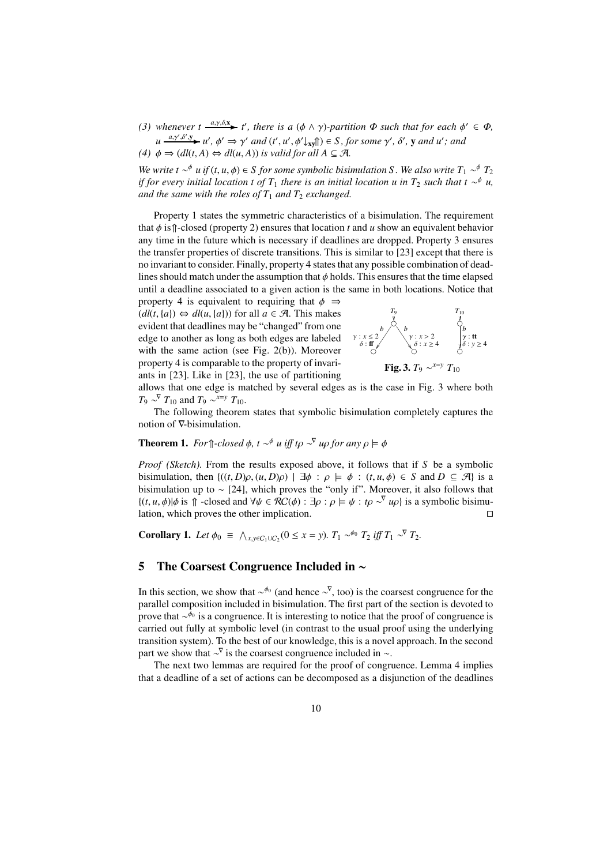- $(3)$  *whenever*  $t \xrightarrow{a,\gamma,\delta,\mathbf{x}} t'$ , *there is*  $a$  ( $\phi \wedge \gamma$ )-partition  $\Phi$  *such that for each*  $\phi' \in \Phi$ ,  $u \xrightarrow{a,\gamma',\delta',\mathbf{y}} u', \phi' \Rightarrow \gamma'$  and  $(t',u',\phi'\downarrow_{\mathbf{x}}\mathbf{y}) \in S$ , for some  $\gamma', \delta', \mathbf{y}$  and  $u'$ ; and
- *(4)*  $\phi \Rightarrow (dl(t, A) \Leftrightarrow dl(u, A))$  *is valid for all*  $A \subseteq \mathcal{A}$ *.*

We write  $t \sim^{\phi} u$  if  $(t, u, \phi) \in S$  for some symbolic bisimulation S. We also write  $T_1 \sim^{\phi} T_2$ if for every initial location t of  $T_1$  there is an initial location u in  $T_2$  such that t  $\sim^{\phi}$  u, *and* the same with the roles of  $T_1$  and  $T_2$  exchanged.

Property 1 states the symmetric characteristics of a bisimulation. The requirement that  $\phi$  is  $\hat{\theta}$ -closed (property 2) ensures that location *t* and *u* show an equivalent behavior any time in the future which is necessary if deadlines are dropped. Property 3 ensures the transfer properties of discrete transitions. This is similar to [23] except that there is no invariant to consider. Finally, property 4 states that any possible combination of deadlines should match under the assumption that  $\phi$  holds. This ensures that the time elapsed until a deadline associated to a given action is the same in both locations. Notice that

property 4 is equivalent to requiring that  $\phi \Rightarrow$  $(dl(t, \{a\}) \Leftrightarrow dl(u, \{a\}))$  for all  $a \in \mathcal{A}$ . This makes evident that deadlines may be "changed" from one edge to another as long as both edges are labeled with the same action (see Fig. 2(b)). Moreover property 4 is comparable to the property of invariants in [23]. Like in [23], the use of partitioning



allows that one edge is matched by several edges as is the case in Fig. 3 where both *T*<sub>9</sub> ∼<sup>*V*</sup> *T*<sub>10</sub> and *T*<sub>9</sub> ∼<sup>*x*=*y*</sup> *T*<sub>10</sub>.

The following theorem states that symbolic bisimulation completely captures the notion of ∇-bisimulation.

**Theorem 1.** *For*  $\uparrow$ *-closed*  $\phi$ *,*  $t \sim^{\phi} u$  *iff to*  $\sim^{\nabla} u \rho$  *for any*  $\rho \models \phi$ 

*Proof (Sketch).* From the results exposed above, it follows that if *S* be a symbolic bisimulation, then  $\{((t, D)\rho, (u, D)\rho) \mid \exists \phi : \rho \models \phi : (t, u, \phi) \in S \text{ and } D \subseteq \mathcal{A}\}\$ is a bisimulation up to ∼ [24], which proves the "only if". Moreover, it also follows that  $\{(t, u, \phi)|\phi \text{ is } \Uparrow \text{ -closed and } \forall \psi \in \mathcal{RC}(\phi) : \exists \rho : \rho \models \psi : t\rho \sim^{\mathcal{V}} u\rho\} \text{ is a symbolic bisimu-}$  $l$  lation, which proves the other implication.  $\Box$ 

**Corollary 1.** *Let*  $\phi_0 \equiv \bigwedge_{x,y \in C_1 \cup C_2} (0 \le x = y)$ .  $T_1 \sim^{\phi_0} T_2$  *iff*  $T_1 \sim^{\nabla} T_2$ .

## **5 The Coarsest Congruence Included in** ∼

In this section, we show that  $\sim^{\phi_0}$  (and hence  $\sim^{\nabla}$ , too) is the coarsest congruence for the parallel composition included in bisimulation. The first part of the section is devoted to prove that ∼<sup> $\phi$ </sup> is a congruence. It is interesting to notice that the proof of congruence is carried out fully at symbolic level (in contrast to the usual proof using the underlying transition system). To the best of our knowledge, this is a novel approach. In the second part we show that  $\sim$ <sup>V</sup> is the coarsest congruence included in  $\sim$ .

The next two lemmas are required for the proof of congruence. Lemma 4 implies that a deadline of a set of actions can be decomposed as a disjunction of the deadlines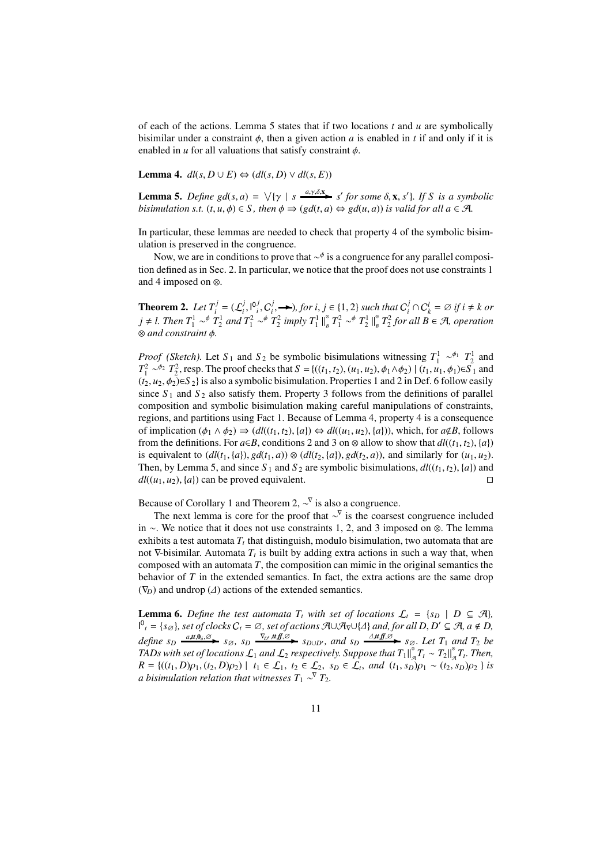of each of the actions. Lemma 5 states that if two locations *t* and *u* are symbolically bisimilar under a constraint  $\phi$ , then a given action *a* is enabled in *t* if and only if it is enabled in  $u$  for all valuations that satisfy constraint  $\phi$ .

**Lemma 4.**  $dl(s, D \cup E) \Leftrightarrow (dl(s, D) \vee dl(s, E))$ 

**Lemma 5.** Define  $gd(s, a) = \sqrt{\{\gamma \mid s \xrightarrow{a, \gamma, \delta, x}} s' \text{ for some } \delta, x, s'\}.$  If S is a symbolic *bisimulation s.t.*  $(t, u, \phi) \in S$ , *then*  $\phi \Rightarrow (gd(t, a) \Leftrightarrow gd(u, a))$  *is valid for all*  $a \in \mathcal{A}$ *.* 

In particular, these lemmas are needed to check that property 4 of the symbolic bisimulation is preserved in the congruence.

Now, we are in conditions to prove that  $\sim^{\phi}$  is a congruence for any parallel composition defined as in Sec. 2. In particular, we notice that the proof does not use constraints 1 and 4 imposed on ⊗.

**Theorem 2.** *Let*  $T_i^j$  $\mu_i^j = (\mathcal{L}_i^j)$  $\int_{i}^{j}$ ,  $\left| \frac{0}{i} \right|$  $i$ <sup>*j*</sup>,  $C_i$ <sup>*j*</sup>  $j$ ,  $\rightarrow$  *for i*,  $j \in \{1, 2\}$  *such that*  $C_i^j$  $i$ <sup>*j*</sup> ∩  $C_k^l$  = ∅ *if i* ≠ *k or*  $j \neq l$ . Then  $T_1^1 \sim^{\phi} T_2^1$  and  $T_1^2 \sim^{\phi} T_2^2$  imply  $T_1^1 \parallel^{\circ} _B T_1^2 \sim^{\phi} T_2^1 \parallel^{\circ} _B T_2^2$  for all  $B \in \mathcal{A}$ , operation ⊗ *and constraint* φ*.*

*Proof* (*Sketch*). Let  $S_1$  and  $S_2$  be symbolic bisimulations witnessing  $T_1^1 \sim^{\phi_1} T_2^1$  and *T*<sup>2</sup><sub>1</sub> ∼<sup> $\phi$ </sup><sub>2</sub> *T*<sup>2</sup><sub>2</sub>, resp. The proof checks that *S* = {((*t*<sub>1</sub>, *t*<sub>2</sub>), (*u*<sub>1</sub>, *u*<sub>2</sub>),  $\phi$ <sub>1</sub>∧ $\phi$ <sub>2</sub>) | (*t*<sub>1</sub>, *u*<sub>1</sub>,  $\phi$ <sub>1</sub>)∈*S*<sub>1</sub><sup>2</sup> and  $(t_2, u_2, \phi_2) \in S_2$  is also a symbolic bisimulation. Properties 1 and 2 in Def. 6 follow easily since  $S_1$  and  $S_2$  also satisfy them. Property 3 follows from the definitions of parallel composition and symbolic bisimulation making careful manipulations of constraints, regions, and partitions using Fact 1. Because of Lemma 4, property 4 is a consequence of implication  $(\phi_1 \land \phi_2) \Rightarrow (dl((t_1, t_2), \{a\}) \Leftrightarrow dl((u_1, u_2), \{a\}))$ , which, for  $a \notin B$ , follows from the definitions. For  $a \in B$ , conditions 2 and 3 on ⊗ allow to show that  $dl((t_1, t_2), \{a\})$ is equivalent to  $(dl(t_1, \{a\}), gd(t_1, a)) \otimes (dl(t_2, \{a\}), gd(t_2, a))$ , and similarly for  $(u_1, u_2)$ . Then, by Lemma 5, and since  $S_1$  and  $S_2$  are symbolic bisimulations,  $dl((t_1, t_2), \{a\})$  and  $dl((u_1, u_2), \{a\})$  can be proved equivalent.  $dl((u_1, u_2), \{a\})$  can be proved equivalent.

Because of Corollary 1 and Theorem 2,  $\sim$ <sup>V</sup> is also a congruence.

The next lemma is core for the proof that  $\sim^{\nabla}$  is the coarsest congruence included in ∼. We notice that it does not use constraints 1, 2, and 3 imposed on ⊗. The lemma exhibits a test automata  $T_t$  that distinguish, modulo bisimulation, two automata that are not ∇-bisimilar. Automata *T<sup>t</sup>* is built by adding extra actions in such a way that, when composed with an automata *T*, the composition can mimic in the original semantics the behavior of *T* in the extended semantics. In fact, the extra actions are the same drop  $(\nabla_D)$  and undrop  $(\Delta)$  actions of the extended semantics.

**Lemma** 6. Define the test automata  $T_t$  with set of locations  $\mathcal{L}_t = \{s_D \mid D \subseteq \mathcal{A}\}\$ ,  $A^0_t = \{s_{\emptyset}\}\$ , set of clocks  $C_t = \emptyset$ , set of actions  $\mathcal{A} \cup \mathcal{A}_{\nabla} \cup \{\Delta\}$  and, for all  $D, D' \subseteq \mathcal{A}$ ,  $a \notin D$ , define  $s_D \xrightarrow{a,\text{It},0_\delta,\varnothing} s_\varnothing$ ,  $s_D \xrightarrow{\nabla_{D'},\text{It},f,\varnothing} s_{D\cup D'}$ , and  $s_D \xrightarrow{\Delta,\text{It},f,\varnothing} s_\varnothing$ . Let  $T_1$  and  $T_2$  be *TADs with set of locations*  $\mathcal{L}_1$  *and*  $\mathcal{L}_2$  *respectively. Suppose that*  $T_1||_\mathcal{A}^\mathcal{B}T_t \sim T_2||_\mathcal{A}^\mathcal{B}T_t$ *. Then,*  $R = \{((t_1, D)\rho_1, (t_2, D)\rho_2) \mid t_1 \in \mathcal{L}_1, t_2 \in \mathcal{L}_2, s_D \in \mathcal{L}_t, and (t_1, s_D)\rho_1 \sim (t_2, s_D)\rho_2 \}$  *is* a bisimulation relation that witnesses  $T_1 \sim T_2$ .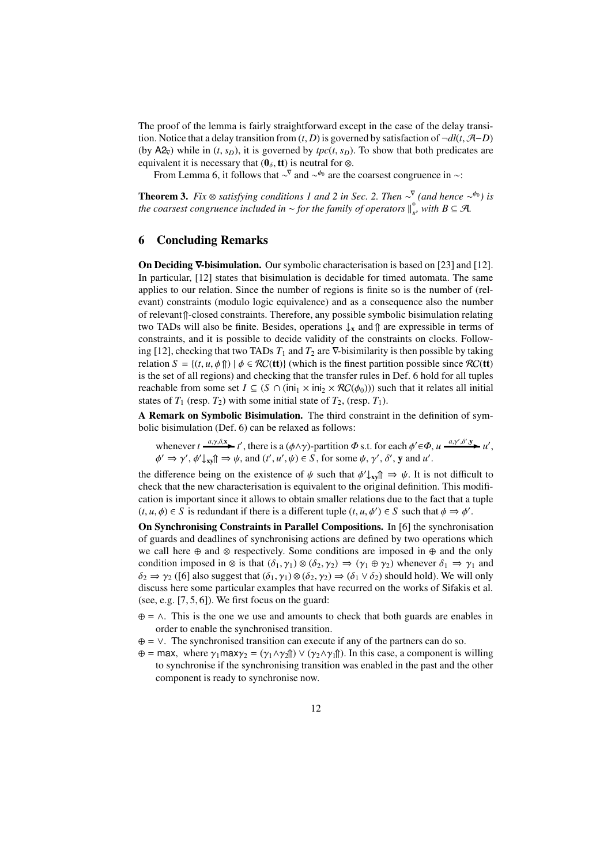The proof of the lemma is fairly straightforward except in the case of the delay transition. Notice that a delay transition from  $(t, D)$  is governed by satisfaction of  $\neg dl(t, \mathcal{A}-D)$ (by  $A2<sub>∇</sub>$ ) while in (*t*, *s*<sub>*D*</sub>), it is governed by *tpc*(*t*, *s*<sub>*D*</sub>). To show that both predicates are equivalent it is necessary that  $(\mathbf{0}_{\delta}, \mathbf{t})$  is neutral for  $\otimes$ .

From Lemma 6, it follows that  $\sim^{\nabla}$  and  $\sim^{\phi_0}$  are the coarsest congruence in  $\sim$ :

**Theorem 3.** *Fix*  $\otimes$  *satisfying conditions 1 and* 2 *in Sec.* 2. *Then*  $\sim$ <sup>*V*</sup></sup> *(and hence*  $\sim$ <sup>*φ*0</sup>) *is the coarsest congruence included in* ∼ *for the family of operators*  $\parallel_{B}^{\circ}$ *, with*  $B \subseteq \mathcal{A}$ *.* 

#### **6 Concluding Remarks**

**On Deciding** ∇**-bisimulation.** Our symbolic characterisation is based on [23] and [12]. In particular, [12] states that bisimulation is decidable for timed automata. The same applies to our relation. Since the number of regions is finite so is the number of (relevant) constraints (modulo logic equivalence) and as a consequence also the number of relevant⇑-closed constraints. Therefore, any possible symbolic bisimulation relating two TADs will also be finite. Besides, operations ↓**<sup>x</sup>** and ⇑ are expressible in terms of constraints, and it is possible to decide validity of the constraints on clocks. Following [12], checking that two TADs  $T_1$  and  $T_2$  are  $\nabla$ -bisimilarity is then possible by taking relation  $S = \{(t, u, \phi) | \phi \in RC$  (**tt**)} (which is the finest partition possible since RC(**tt**) is the set of all regions) and checking that the transfer rules in Def. 6 hold for all tuples reachable from some set  $I \subseteq (S \cap (in_1 \times in_2 \times \mathcal{RC}(\phi_0)))$  such that it relates all initial states of  $T_1$  (resp.  $T_2$ ) with some initial state of  $T_2$ , (resp.  $T_1$ ).

**A Remark on Symbolic Bisimulation.** The third constraint in the definition of symbolic bisimulation (Def. 6) can be relaxed as follows:

whenever 
$$
t \xrightarrow{a,\gamma,\delta,\mathbf{x}}
$$
  $t'$ , there is a  $(\phi \land \gamma)$ -partition  $\Phi$  s.t. for each  $\phi' \in \Phi$ ,  $u \xrightarrow{a,\gamma',\delta',\mathbf{y}}$   $u'$ ,  $\phi' \Rightarrow \gamma', \phi' \downarrow_{\mathbf{x}\mathbf{y}} \Rightarrow \psi$ , and  $(t', u', \psi) \in S$ , for some  $\psi, \gamma', \delta', \mathbf{y}$  and  $u'$ .

the difference being on the existence of  $\psi$  such that  $\phi' \downarrow_{xy} \hat{\theta} \Rightarrow \psi$ . It is not difficult to check that the new characterisation is equivalent to the original definition. This modification is important since it allows to obtain smaller relations due to the fact that a tuple  $(t, u, \phi) \in S$  is redundant if there is a different tuple  $(t, u, \phi') \in S$  such that  $\phi \Rightarrow \phi'$ .

**On Synchronising Constraints in Parallel Compositions.** In [6] the synchronisation of guards and deadlines of synchronising actions are defined by two operations which we call here ⊕ and ⊗ respectively. Some conditions are imposed in ⊕ and the only condition imposed in ⊗ is that  $(\delta_1, \gamma_1) \otimes (\delta_2, \gamma_2) \Rightarrow (\gamma_1 \oplus \gamma_2)$  whenever  $\delta_1 \Rightarrow \gamma_1$  and  $\delta_2 \Rightarrow \gamma_2$  ([6] also suggest that  $(\delta_1, \gamma_1) \otimes (\delta_2, \gamma_2) \Rightarrow (\delta_1 \vee \delta_2)$  should hold). We will only discuss here some particular examples that have recurred on the works of Sifakis et al. (see, e.g. [7, 5, 6]). We first focus on the guard:

 $\oplus$  =  $\wedge$ . This is the one we use and amounts to check that both guards are enables in order to enable the synchronised transition.

⊕ = ∨. The synchronised transition can execute if any of the partners can do so.

 $\oplus$  = max, where  $\gamma_1$ max $\gamma_2 = (\gamma_1 \wedge \gamma_2 \uparrow) \vee (\gamma_2 \wedge \gamma_1 \uparrow)$ . In this case, a component is willing to synchronise if the synchronising transition was enabled in the past and the other component is ready to synchronise now.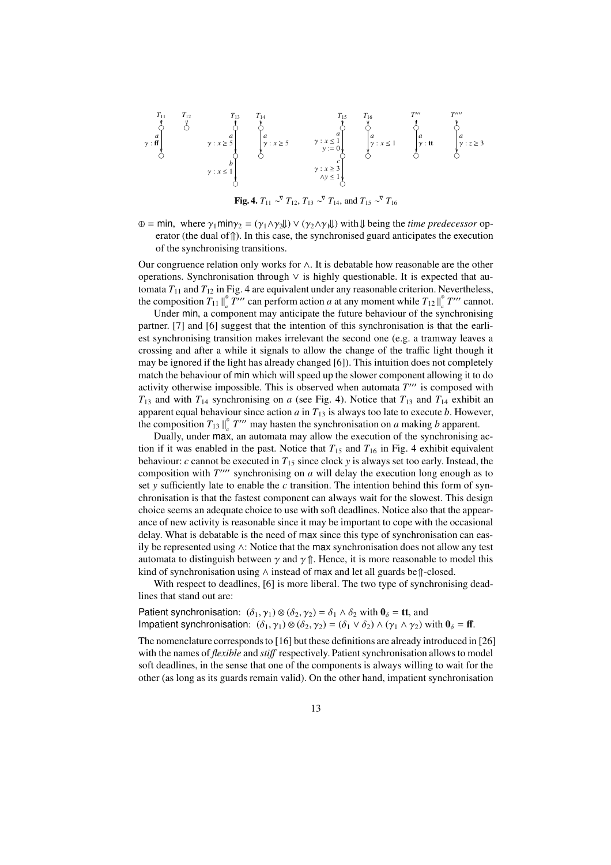| $T_{11}$         | $T_{12}$         | $T_{13}$         | $T_{14}$         | $T_{15}$         | $T_{16}$         | $T'''$           | $T''''$          |                  |                  |                  |                  |                  |                  |                  |                  |                  |                  |                  |                  |                  |                  |                  |                  |                  |                  |                  |                    |                    |                    |                    |                    |                    |                    |                    |                    |                    |                    |                    |                    |                 |
|------------------|------------------|------------------|------------------|------------------|------------------|------------------|------------------|------------------|------------------|------------------|------------------|------------------|------------------|------------------|------------------|------------------|------------------|------------------|------------------|------------------|------------------|------------------|------------------|------------------|------------------|------------------|--------------------|--------------------|--------------------|--------------------|--------------------|--------------------|--------------------|--------------------|--------------------|--------------------|--------------------|--------------------|--------------------|-----------------|
| \n $\uparrow$ \n | \n $\uparrow$ \n | \n $\uparrow$ \n | \n $\uparrow$ \n | \n $\uparrow$ \n | \n $\uparrow$ \n | \n $\uparrow$ \n | \n $\uparrow$ \n | \n $\uparrow$ \n | \n $\uparrow$ \n | \n $\uparrow$ \n | \n $\uparrow$ \n | \n $\uparrow$ \n | \n $\uparrow$ \n | \n $\uparrow$ \n | \n $\uparrow$ \n | \n $\uparrow$ \n | \n $\uparrow$ \n | \n $\uparrow$ \n | \n $\uparrow$ \n | \n $\uparrow$ \n | \n $\uparrow$ \n | \n $\uparrow$ \n | \n $\uparrow$ \n | \n $\uparrow$ \n | \n $\uparrow$ \n | \n $\uparrow$ \n | \n $\downarrow$ \n | \n $\downarrow$ \n | \n $\downarrow$ \n | \n $\downarrow$ \n | \n $\downarrow$ \n | \n $\downarrow$ \n | \n $\downarrow$ \n | \n $\downarrow$ \n | \n $\downarrow$ \n | \n $\downarrow$ \n | \n $\downarrow$ \n | \n $\downarrow$ \n | \n $\downarrow$ \n | \n $\downarrow$ |

**Fig. 4.**  $T_{11} \sim^{\nabla} T_{12}$ ,  $T_{13} \sim^{\nabla} T_{14}$ , and  $T_{15} \sim^{\nabla} T_{16}$ 

 $\oplus$  = min, where  $\gamma_1$ min $\gamma_2 = (\gamma_1 \wedge \gamma_2 \Downarrow) \vee (\gamma_2 \wedge \gamma_1 \Downarrow)$  with  $\Downarrow$  being the *time predecessor* operator (the dual of  $\uparrow$ ). In this case, the synchronised guard anticipates the execution of the synchronising transitions.

Our congruence relation only works for ∧. It is debatable how reasonable are the other operations. Synchronisation through ∨ is highly questionable. It is expected that automata  $T_{11}$  and  $T_{12}$  in Fig. 4 are equivalent under any reasonable criterion. Nevertheless, the composition  $T_{11} \parallel_{a}^{\infty} T'''$  can perform action *a* at any moment while  $T_{12} \parallel_{a}^{\infty} T'''$  cannot.

Under min, a component may anticipate the future behaviour of the synchronising partner. [7] and [6] suggest that the intention of this synchronisation is that the earliest synchronising transition makes irrelevant the second one (e.g. a tramway leaves a crossing and after a while it signals to allow the change of the traffic light though it may be ignored if the light has already changed [6]). This intuition does not completely match the behaviour of min which will speed up the slower component allowing it to do activity otherwise impossible. This is observed when automata  $T^{\prime\prime\prime}$  is composed with  $T_{13}$  and with  $T_{14}$  synchronising on *a* (see Fig. 4). Notice that  $T_{13}$  and  $T_{14}$  exhibit an apparent equal behaviour since action  $a$  in  $T_{13}$  is always too late to execute  $b$ . However, the composition  $T_{13} \parallel_a^{\circ} T''$  may hasten the synchronisation on *a* making *b* apparent.

Dually, under max, an automata may allow the execution of the synchronising action if it was enabled in the past. Notice that  $T_{15}$  and  $T_{16}$  in Fig. 4 exhibit equivalent behaviour:  $c$  cannot be executed in  $T_{15}$  since clock  $y$  is always set too early. Instead, the composition with  $T^{\prime\prime\prime\prime}$  synchronising on  $a$  will delay the execution long enough as to set *y* sufficiently late to enable the *c* transition. The intention behind this form of synchronisation is that the fastest component can always wait for the slowest. This design choice seems an adequate choice to use with soft deadlines. Notice also that the appearance of new activity is reasonable since it may be important to cope with the occasional delay. What is debatable is the need of max since this type of synchronisation can easily be represented using ∧: Notice that the max synchronisation does not allow any test automata to distinguish between  $\gamma$  and  $\gamma$   $\hat{\uparrow}$ . Hence, it is more reasonable to model this kind of synchronisation using  $\land$  instead of max and let all guards be $\Uparrow$ -closed.

With respect to deadlines, [6] is more liberal. The two type of synchronising deadlines that stand out are:

Patient synchronisation:  $(\delta_1, \gamma_1) \otimes (\delta_2, \gamma_2) = \delta_1 \wedge \delta_2$  with  $\mathbf{0}_{\delta} = \mathbf{t} \mathbf{t}$ , and Impatient synchronisation:  $(\delta_1, \gamma_1) \otimes (\delta_2, \gamma_2) = (\delta_1 \vee \delta_2) \wedge (\gamma_1 \wedge \gamma_2)$  with  $\mathbf{0}_{\delta} = \mathbf{f} \mathbf{f}$ .

The nomenclature corresponds to [16] but these definitions are already introduced in [26] with the names of *flexible* and *sti*ff respectively. Patient synchronisation allows to model soft deadlines, in the sense that one of the components is always willing to wait for the other (as long as its guards remain valid). On the other hand, impatient synchronisation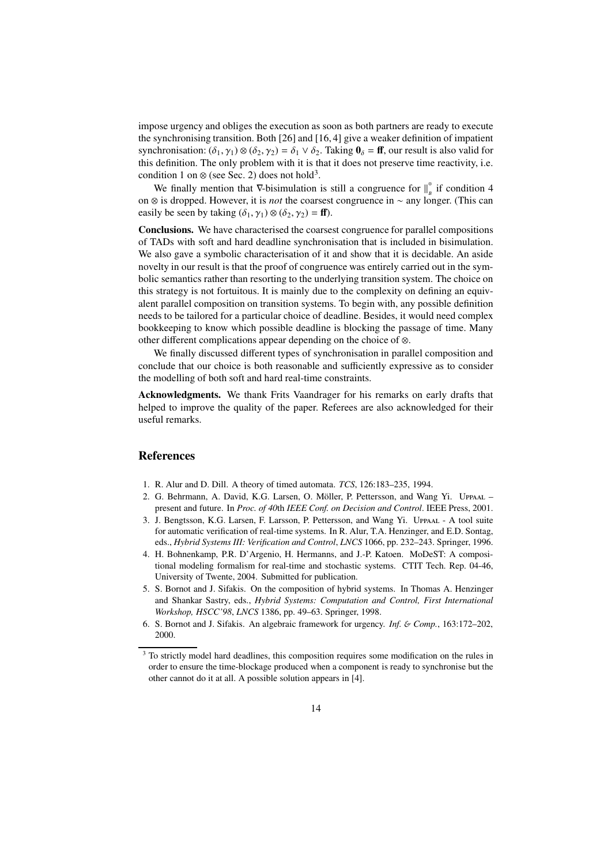impose urgency and obliges the execution as soon as both partners are ready to execute the synchronising transition. Both  $[26]$  and  $[16, 4]$  give a weaker definition of impatient synchronisation:  $(\delta_1, \gamma_1) \otimes (\delta_2, \gamma_2) = \delta_1 \vee \delta_2$ . Taking  $\mathbf{0}_{\delta} = \mathbf{f}$ , our result is also valid for this definition. The only problem with it is that it does not preserve time reactivity, i.e. condition 1 on  $\otimes$  (see Sec. 2) does not hold<sup>3</sup>.

We finally mention that  $\nabla$ -bisimulation is still a congruence for  $\parallel_{B}^{\infty}$  if condition 4 on ⊗ is dropped. However, it is *not* the coarsest congruence in ∼ any longer. (This can easily be seen by taking  $(\delta_1, \gamma_1) \otimes (\delta_2, \gamma_2) = ff$ ).

**Conclusions.** We have characterised the coarsest congruence for parallel compositions of TADs with soft and hard deadline synchronisation that is included in bisimulation. We also gave a symbolic characterisation of it and show that it is decidable. An aside novelty in our result is that the proof of congruence was entirely carried out in the symbolic semantics rather than resorting to the underlying transition system. The choice on this strategy is not fortuitous. It is mainly due to the complexity on defining an equivalent parallel composition on transition systems. To begin with, any possible definition needs to be tailored for a particular choice of deadline. Besides, it would need complex bookkeeping to know which possible deadline is blocking the passage of time. Many other different complications appear depending on the choice of ⊗.

We finally discussed different types of synchronisation in parallel composition and conclude that our choice is both reasonable and sufficiently expressive as to consider the modelling of both soft and hard real-time constraints.

**Acknowledgments.** We thank Frits Vaandrager for his remarks on early drafts that helped to improve the quality of the paper. Referees are also acknowledged for their useful remarks.

#### **References**

- 1. R. Alur and D. Dill. A theory of timed automata. *TCS*, 126:183–235, 1994.
- 2. G. Behrmann, A. David, K.G. Larsen, O. Möller, P. Pettersson, and Wang Yi. UPPAAL present and future. In *Proc. of 40*th *IEEE Conf. on Decision and Control*. IEEE Press, 2001.
- 3. J. Bengtsson, K.G. Larsen, F. Larsson, P. Pettersson, and Wang Yi. UPPAAL A tool suite for automatic verification of real-time systems. In R. Alur, T.A. Henzinger, and E.D. Sontag, eds., *Hybrid Systems III: Verification and Control*, *LNCS* 1066, pp. 232–243. Springer, 1996.
- 4. H. Bohnenkamp, P.R. D'Argenio, H. Hermanns, and J.-P. Katoen. MoDeST: A compositional modeling formalism for real-time and stochastic systems. CTIT Tech. Rep. 04-46, University of Twente, 2004. Submitted for publication.
- 5. S. Bornot and J. Sifakis. On the composition of hybrid systems. In Thomas A. Henzinger and Shankar Sastry, eds., *Hybrid Systems: Computation and Control, First International Workshop, HSCC'98*, *LNCS* 1386, pp. 49–63. Springer, 1998.
- 6. S. Bornot and J. Sifakis. An algebraic framework for urgency. *Inf.* & *Comp.*, 163:172–202, 2000.

<sup>&</sup>lt;sup>3</sup> To strictly model hard deadlines, this composition requires some modification on the rules in order to ensure the time-blockage produced when a component is ready to synchronise but the other cannot do it at all. A possible solution appears in [4].